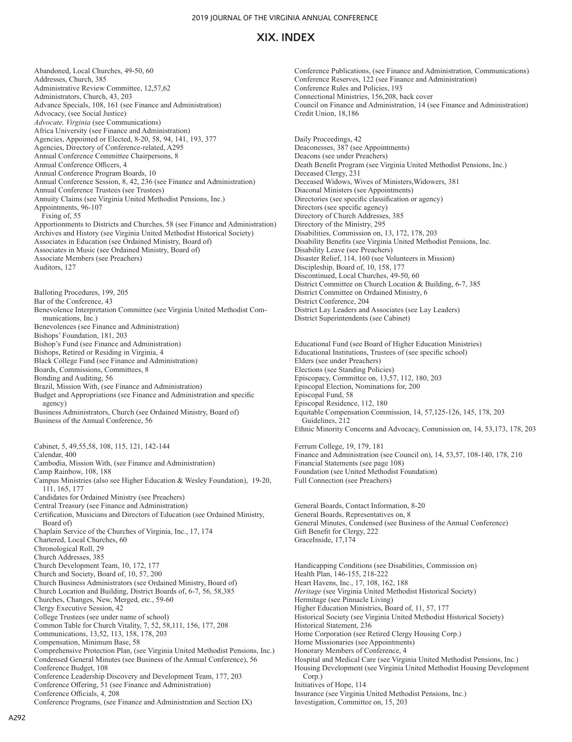Abandoned, Local Churches, 49-50, 60 Addresses, Church, 385 Administrative Review Committee, 12,57,62 Administrators, Church, 43, 203 Advance Specials, 108, 161 (see Finance and Administration) Advocacy, (see Social Justice) *Advocate, Virginia* (see Communications) Africa University (see Finance and Administration) Agencies, Appointed or Elected, 8-20, 58, 94, 141, 193, 377 Agencies, Directory of Conference-related, A295 Annual Conference Committee Chairpersons, 8 Annual Conference Officers, 4 Annual Conference Program Boards, 10 Annual Conference Session, 8, 42, 236 (see Finance and Administration) Annual Conference Trustees (see Trustees) Annuity Claims (see Virginia United Methodist Pensions, Inc.) Appointments, 96-107 Fixing of, 55 Apportionments to Districts and Churches, 58 (see Finance and Administration) Archives and History (see Virginia United Methodist Historical Society) Associates in Education (see Ordained Ministry, Board of) Associates in Music (see Ordained Ministry, Board of) Associate Members (see Preachers) Auditors, 127 Balloting Procedures, 199, 205 Bar of the Conference, 43 Benevolence Interpretation Committee (see Virginia United Methodist Communications, Inc.) Benevolences (see Finance and Administration) Bishops' Foundation, 181, 203 Bishop's Fund (see Finance and Administration) Bishops, Retired or Residing in Virginia, 4 Black College Fund (see Finance and Administration) Boards, Commissions, Committees, 8 Bonding and Auditing, 56 Brazil, Mission With, (see Finance and Administration) Budget and Appropriations (see Finance and Administration and specific agency) Business Administrators, Church (see Ordained Ministry, Board of) Business of the Annual Conference, 56 Cabinet, 5, 49,55,58, 108, 115, 121, 142-144 Calendar, 400 Cambodia, Mission With, (see Finance and Administration) Camp Rainbow, 108, 188 Campus Ministries (also see Higher Education & Wesley Foundation), 19-20, 111, 165, 177 Candidates for Ordained Ministry (see Preachers) Central Treasury (see Finance and Administration) Certification, Musicians and Directors of Education (see Ordained Ministry, Board of) Chaplain Service of the Churches of Virginia, Inc., 17, 174 Chartered, Local Churches, 60 Chronological Roll, 29 Church Addresses, 385 Church Development Team, 10, 172, 177 Church and Society, Board of, 10, 57, 200 Church Business Administrators (see Ordained Ministry, Board of) Church Location and Building, District Boards of, 6-7, 56, 58,385 Churches, Changes, New, Merged, etc., 59-60 Clergy Executive Session, 42 College Trustees (see under name of school) Common Table for Church Vitality, 7, 52, 58,111, 156, 177, 208 Communications, 13,52, 113, 158, 178, 203 Compensation, Minimum Base, 58 Comprehensive Protection Plan, (see Virginia United Methodist Pensions, Inc.) Condensed General Minutes (see Business of the Annual Conference), 56 Conference Budget, 108 Conference Leadership Discovery and Development Team, 177, 203 Conference Offering, 51 (see Finance and Administration) Conference Officials, 4, 208 Conference Programs, (see Finance and Administration and Section IX)

Conference Publications, (see Finance and Administration, Communications) Conference Reserves, 122 (see Finance and Administration) Conference Rules and Policies, 193 Connectional Ministries, 156,208, back cover Council on Finance and Administration, 14 (see Finance and Administration) Credit Union, 18,186

Daily Proceedings, 42 Deaconesses, 387 (see Appointments) Deacons (see under Preachers) Death Benefit Program (see Virginia United Methodist Pensions, Inc.) Deceased Clergy, 231 Deceased Widows, Wives of Ministers,Widowers, 381 Diaconal Ministers (see Appointments) Directories (see specific classification or agency) Directors (see specific agency) Directory of Church Addresses, 385 Directory of the Ministry, 295 Disabilities, Commission on, 13, 172, 178, 203 Disability Benefits (see Virginia United Methodist Pensions, Inc. Disability Leave (see Preachers) Disaster Relief, 114, 160 (see Volunteers in Mission) Discipleship, Board of, 10, 158, 177 Discontinued, Local Churches, 49-50, 60 District Committee on Church Location & Building, 6-7, 385 District Committee on Ordained Ministry, 6 District Conference, 204 District Lay Leaders and Associates (see Lay Leaders) District Superintendents (see Cabinet)

Educational Fund (see Board of Higher Education Ministries) Educational Institutions, Trustees of (see specific school) Elders (see under Preachers) Elections (see Standing Policies) Episcopacy, Committee on, 13,57, 112, 180, 203 Episcopal Election, Nominations for, 200 Episcopal Fund, 58 Episcopal Residence, 112, 180 Equitable Compensation Commission, 14, 57,125-126, 145, 178, 203 Guidelines, 212 Ethnic Minority Concerns and Advocacy, Commission on, 14, 53,173, 178, 203 Ferrum College, 19, 179, 181

Finance and Administration (see Council on), 14, 53,57, 108-140, 178, 210 Financial Statements (see page 108) Foundation (see United Methodist Foundation) Full Connection (see Preachers)

General Boards, Contact Information, 8-20 General Boards, Representatives on, 8 General Minutes, Condensed (see Business of the Annual Conference) Gift Benefit for Clergy, 222 GraceInside, 17,174

Handicapping Conditions (see Disabilities, Commission on) Health Plan, 146-155, 218-222 Heart Havens, Inc., 17, 108, 162, 188 *Heritage* (see Virginia United Methodist Historical Society) Hermitage (see Pinnacle Living) Higher Education Ministries, Board of, 11, 57, 177 Historical Society (see Virginia United Methodist Historical Society) Historical Statement, 236 Home Corporation (see Retired Clergy Housing Corp.) Home Missionaries (see Appointments) Honorary Members of Conference, 4 Hospital and Medical Care (see Virginia United Methodist Pensions, Inc.) Housing Development (see Virginia United Methodist Housing Development Corp.) Initiatives of Hope, 114 Insurance (see Virginia United Methodist Pensions, Inc.) Investigation, Committee on, 15, 203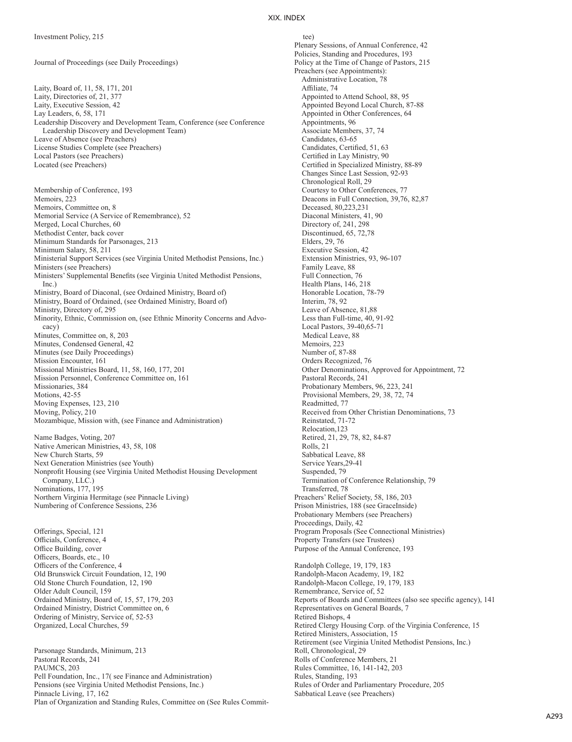Membership of Conference, 193

Journal of Proceedings (see Daily Proceedings)

Laity, Board of, 11, 58, 171, 201 Laity, Directories of, 21, 377 Laity, Executive Session, 42 Lay Leaders, 6, 58, 171 Leadership Discovery and Development Team, Conference (see Conference Leadership Discovery and Development Team) Leave of Absence (see Preachers) License Studies Complete (see Preachers) Local Pastors (see Preachers) Located (see Preachers)

Memoirs, 223 Memoirs, Committee on, 8 Memorial Service (A Service of Remembrance), 52 Merged, Local Churches, 60 Methodist Center, back cover Minimum Standards for Parsonages, 213 Minimum Salary, 58, 211 Ministerial Support Services (see Virginia United Methodist Pensions, Inc.) Ministers (see Preachers) Ministers' Supplemental Benefits (see Virginia United Methodist Pensions, Inc.) Ministry, Board of Diaconal, (see Ordained Ministry, Board of) Ministry, Board of Ordained, (see Ordained Ministry, Board of) Ministry, Directory of, 295 Minority, Ethnic, Commission on, (see Ethnic Minority Concerns and Advocacy) Minutes, Committee on, 8, 203 Minutes, Condensed General, 42 Minutes (see Daily Proceedings) Mission Encounter, 161 Missional Ministries Board, 11, 58, 160, 177, 201 Mission Personnel, Conference Committee on, 161 Missionaries, 384 Motions, 42-55 Moving Expenses, 123, 210 Moving, Policy, 210 Mozambique, Mission with, (see Finance and Administration) Name Badges, Voting, 207 Native American Ministries, 43, 58, 108 New Church Starts, 59 Next Generation Ministries (see Youth) Nonprofit Housing (see Virginia United Methodist Housing Development Company, LLC.) Nominations, 177, 195 Northern Virginia Hermitage (see Pinnacle Living) Numbering of Conference Sessions, 236

Offerings, Special, 121 Officials, Conference, 4 Office Building, cover Officers, Boards, etc., 10 Officers of the Conference, 4 Old Brunswick Circuit Foundation, 12, 190 Old Stone Church Foundation, 12, 190 Older Adult Council, 159 Ordained Ministry, Board of, 15, 57, 179, 203 Ordained Ministry, District Committee on, 6 Ordering of Ministry, Service of, 52-53 Organized, Local Churches, 59

Parsonage Standards, Minimum, 213 Pastoral Records, 241 PAUMCS, 203 Pell Foundation, Inc., 17( see Finance and Administration) Pensions (see Virginia United Methodist Pensions, Inc.) Pinnacle Living, 17, 162 Plan of Organization and Standing Rules, Committee on (See Rules Commit-

#### XIX. INDEX

tee) Plenary Sessions, of Annual Conference, 42 Policies, Standing and Procedures, 193 Policy at the Time of Change of Pastors, 215 Preachers (see Appointments): Administrative Location, 78 Affiliate, 74 Appointed to Attend School, 88, 95 Appointed Beyond Local Church, 87-88 Appointed in Other Conferences, 64 Appointments, 96 Associate Members, 37, 74 Candidates, 63-65 Candidates, Certified, 51, 63 Certified in Lay Ministry, 90 Certified in Specialized Ministry, 88-89 Changes Since Last Session, 92-93 Chronological Roll, 29 Courtesy to Other Conferences, 77 Deacons in Full Connection, 39,76, 82,87 Deceased, 80,223,231 Diaconal Ministers, 41, 90 Directory of, 241, 298 Discontinued, 65, 72,78 Elders, 29, 76 Executive Session, 42 Extension Ministries, 93, 96-107 Family Leave, 88 Full Connection, 76 Health Plans, 146, 218 Honorable Location, 78-79 Interim, 78, 92 Leave of Absence, 81,88 Less than Full-time, 40, 91-92 Local Pastors, 39-40,65-71 Medical Leave, 88 Memoirs, 223 Number of, 87-88 Orders Recognized, 76 Other Denominations, Approved for Appointment, 72 Pastoral Records, 241 Probationary Members, 96, 223, 241 Provisional Members, 29, 38, 72, 74 Readmitted, 77 Received from Other Christian Denominations, 73 Reinstated, 71-72 Relocation,123 Retired, 21, 29, 78, 82, 84-87 Rolls, 21 Sabbatical Leave, 88 Service Years,29-41 Suspended, 79 Termination of Conference Relationship, 79 Transferred, 78 Preachers' Relief Society, 58, 186, 203 Prison Ministries, 188 (see GraceInside) Probationary Members (see Preachers) Proceedings, Daily, 42 Program Proposals (See Connectional Ministries) Property Transfers (see Trustees) Purpose of the Annual Conference, 193 Randolph College, 19, 179, 183 Randolph-Macon Academy, 19, 182 Randolph-Macon College, 19, 179, 183 Remembrance, Service of, 52 Reports of Boards and Committees (also see specific agency), 141 Representatives on General Boards, 7 Retired Bishops, 4 Retired Clergy Housing Corp. of the Virginia Conference, 15 Retired Ministers, Association, 15 Retirement (see Virginia United Methodist Pensions, Inc.)

Roll, Chronological, 29 Rolls of Conference Members, 21 Rules Committee, 16, 141-142, 203 Rules, Standing, 193 Rules of Order and Parliamentary Procedure, 205 Sabbatical Leave (see Preachers)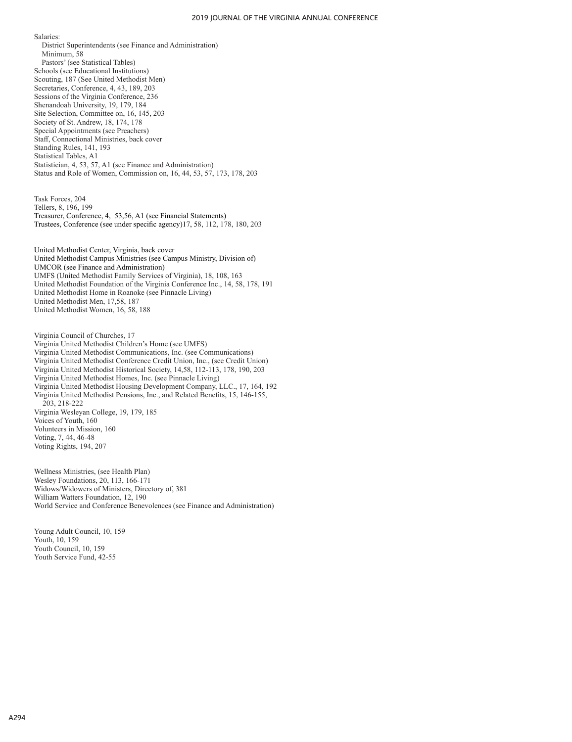#### 2019 JOURNAL OF THE VIRGINIA ANNUAL CONFERENCE

Salaries:

District Superintendents (see Finance and Administration) Minimum, 58 Pastors' (see Statistical Tables) Schools (see Educational Institutions) Scouting, 187 (See United Methodist Men) Secretaries, Conference, 4, 43, 189, 203 Sessions of the Virginia Conference, 236 Shenandoah University, 19, 179, 184 Site Selection, Committee on, 16, 145, 203 Society of St. Andrew, 18, 174, 178 Special Appointments (see Preachers) Staff, Connectional Ministries, back cover Standing Rules, 141, 193 Statistical Tables, A1 Statistician, 4, 53, 57, A1 (see Finance and Administration) Status and Role of Women, Commission on, 16, 44, 53, 57, 173, 178, 203

Task Forces, 204 Tellers, 8, 196, 199 Treasurer, Conference, 4, 53,56, A1 (see Financial Statements) Trustees, Conference (see under specific agency)17, 58, 112, 178, 180, 203

United Methodist Center, Virginia, back cover United Methodist Campus Ministries (see Campus Ministry, Division of) UMCOR (see Finance and Administration) UMFS (United Methodist Family Services of Virginia), 18, 108, 163 United Methodist Foundation of the Virginia Conference Inc., 14, 58, 178, 191 United Methodist Home in Roanoke (see Pinnacle Living) United Methodist Men, 17,58, 187 United Methodist Women, 16, 58, 188

Virginia Council of Churches, 17 Virginia United Methodist Children's Home (see UMFS) Virginia United Methodist Communications, Inc. (see Communications) Virginia United Methodist Conference Credit Union, Inc., (see Credit Union) Virginia United Methodist Historical Society, 14,58, 112-113, 178, 190, 203 Virginia United Methodist Homes, Inc. (see Pinnacle Living) Virginia United Methodist Housing Development Company, LLC., 17, 164, 192 Virginia United Methodist Pensions, Inc., and Related Benefits, 15, 146-155, 203, 218-222 Virginia Wesleyan College, 19, 179, 185 Voices of Youth, 160 Volunteers in Mission, 160 Voting, 7, 44, 46-48 Voting Rights, 194, 207

Wellness Ministries, (see Health Plan) Wesley Foundations, 20, 113, 166-171 Widows/Widowers of Ministers, Directory of, 381 William Watters Foundation, 12, 190 World Service and Conference Benevolences (see Finance and Administration)

Young Adult Council, 10, 159 Youth, 10, 159 Youth Council, 10, 159 Youth Service Fund, 42-55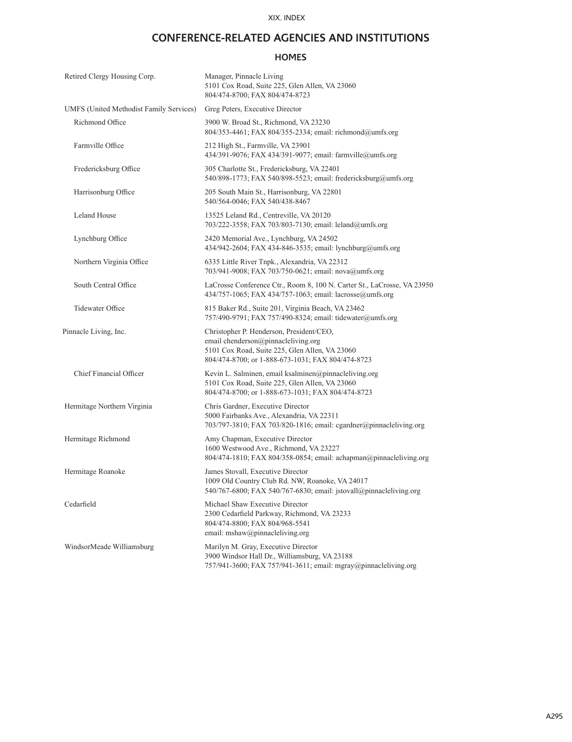# **CONFERENCE-RELATED AGENCIES AND INSTITUTIONS**

## **HOMES**

| Retired Clergy Housing Corp.                   | Manager, Pinnacle Living<br>5101 Cox Road, Suite 225, Glen Allen, VA 23060<br>804/474-8700; FAX 804/474-8723                                                                           |
|------------------------------------------------|----------------------------------------------------------------------------------------------------------------------------------------------------------------------------------------|
| <b>UMFS (United Methodist Family Services)</b> | Greg Peters, Executive Director                                                                                                                                                        |
| Richmond Office                                | 3900 W. Broad St., Richmond, VA 23230<br>804/353-4461; FAX 804/355-2334; email: richmond@umfs.org                                                                                      |
| Farmville Office                               | 212 High St., Farmville, VA 23901<br>434/391-9076; FAX 434/391-9077; email: farmville@umfs.org                                                                                         |
| Fredericksburg Office                          | 305 Charlotte St., Fredericksburg, VA 22401<br>540/898-1773; FAX 540/898-5523; email: fredericksburg@umfs.org                                                                          |
| Harrisonburg Office                            | 205 South Main St., Harrisonburg, VA 22801<br>540/564-0046; FAX 540/438-8467                                                                                                           |
| <b>Leland House</b>                            | 13525 Leland Rd., Centreville, VA 20120<br>703/222-3558; FAX 703/803-7130; email: leland@umfs.org                                                                                      |
| Lynchburg Office                               | 2420 Memorial Ave., Lynchburg, VA 24502<br>434/942-2604; FAX 434-846-3535; email: lynchburg@umfs.org                                                                                   |
| Northern Virginia Office                       | 6335 Little River Tnpk., Alexandria, VA 22312<br>703/941-9008; FAX 703/750-0621; email: nova@umfs.org                                                                                  |
| South Central Office                           | LaCrosse Conference Ctr., Room 8, 100 N. Carter St., LaCrosse, VA 23950<br>434/757-1065; FAX 434/757-1063; email: lacrosse@umfs.org                                                    |
| <b>Tidewater Office</b>                        | 815 Baker Rd., Suite 201, Virginia Beach, VA 23462<br>757/490-9791; FAX 757/490-8324; email: tidewater@umfs.org                                                                        |
| Pinnacle Living, Inc.                          | Christopher P. Henderson, President/CEO,<br>email chenderson@pinnacleliving.org<br>5101 Cox Road, Suite 225, Glen Allen, VA 23060<br>804/474-8700; or 1-888-673-1031; FAX 804/474-8723 |
| Chief Financial Officer                        | Kevin L. Salminen, email ksalminen@pinnacleliving.org<br>5101 Cox Road, Suite 225, Glen Allen, VA 23060<br>804/474-8700; or 1-888-673-1031; FAX 804/474-8723                           |
| Hermitage Northern Virginia                    | Chris Gardner, Executive Director<br>5000 Fairbanks Ave., Alexandria, VA 22311<br>703/797-3810; FAX 703/820-1816; email: cgardner@pinnacleliving.org                                   |
| Hermitage Richmond                             | Amy Chapman, Executive Director<br>1600 Westwood Ave., Richmond, VA 23227<br>804/474-1810; FAX 804/358-0854; email: achapman@pinnacleliving.org                                        |
| Hermitage Roanoke                              | James Stovall, Executive Director<br>1009 Old Country Club Rd. NW, Roanoke, VA 24017<br>540/767-6800; FAX 540/767-6830; email: jstovall@pinnacleliving.org                             |
| Cedarfield                                     | Michael Shaw Executive Director<br>2300 Cedarfield Parkway, Richmond, VA 23233<br>804/474-8800; FAX 804/968-5541<br>email: mshaw@pinnacleliving.org                                    |
| WindsorMeade Williamsburg                      | Marilyn M. Gray, Executive Director<br>3900 Windsor Hall Dr., Williamsburg, VA 23188<br>757/941-3600; FAX 757/941-3611; email: mgray@pinnacleliving.org                                |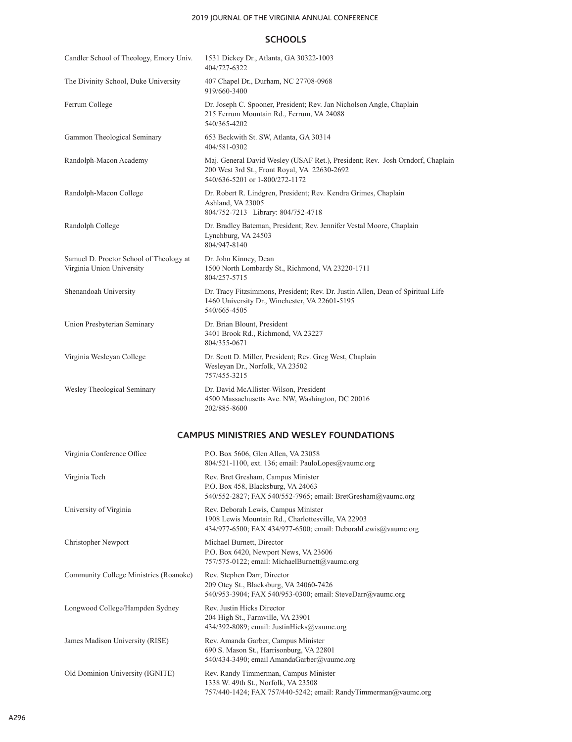## 2019 JOURNAL OF THE VIRGINIA ANNUAL CONFERENCE

## **SCHOOLS**

| Candler School of Theology, Emory Univ.                              | 1531 Dickey Dr., Atlanta, GA 30322-1003<br>404/727-6322                                                                                                         |
|----------------------------------------------------------------------|-----------------------------------------------------------------------------------------------------------------------------------------------------------------|
| The Divinity School, Duke University                                 | 407 Chapel Dr., Durham, NC 27708-0968<br>919/660-3400                                                                                                           |
| Ferrum College                                                       | Dr. Joseph C. Spooner, President; Rev. Jan Nicholson Angle, Chaplain<br>215 Ferrum Mountain Rd., Ferrum, VA 24088<br>540/365-4202                               |
| Gammon Theological Seminary                                          | 653 Beckwith St. SW, Atlanta, GA 30314<br>404/581-0302                                                                                                          |
| Randolph-Macon Academy                                               | Maj. General David Wesley (USAF Ret.), President; Rev. Josh Orndorf, Chaplain<br>200 West 3rd St., Front Royal, VA 22630-2692<br>540/636-5201 or 1-800/272-1172 |
| Randolph-Macon College                                               | Dr. Robert R. Lindgren, President; Rev. Kendra Grimes, Chaplain<br>Ashland, VA 23005<br>804/752-7213 Library: 804/752-4718                                      |
| Randolph College                                                     | Dr. Bradley Bateman, President; Rev. Jennifer Vestal Moore, Chaplain<br>Lynchburg, VA 24503<br>804/947-8140                                                     |
| Samuel D. Proctor School of Theology at<br>Virginia Union University | Dr. John Kinney, Dean<br>1500 North Lombardy St., Richmond, VA 23220-1711<br>804/257-5715                                                                       |
| Shenandoah University                                                | Dr. Tracy Fitzsimmons, President; Rev. Dr. Justin Allen, Dean of Spiritual Life<br>1460 University Dr., Winchester, VA 22601-5195<br>540/665-4505               |
| Union Presbyterian Seminary                                          | Dr. Brian Blount, President<br>3401 Brook Rd., Richmond, VA 23227<br>804/355-0671                                                                               |
| Virginia Wesleyan College                                            | Dr. Scott D. Miller, President; Rev. Greg West, Chaplain<br>Wesleyan Dr., Norfolk, VA 23502<br>757/455-3215                                                     |
| Wesley Theological Seminary                                          | Dr. David McAllister-Wilson, President<br>4500 Massachusetts Ave. NW, Washington, DC 20016<br>202/885-8600                                                      |
|                                                                      | <b>CAMPUS MINISTRIES AND WESLEY FOUNDATIONS</b>                                                                                                                 |
| Virginia Conference Office                                           | P.O. Box 5606, Glen Allen, VA 23058<br>804/521-1100, ext. 136; email: PauloLopes@vaumc.org                                                                      |
| Virginia Tech                                                        | Rev. Bret Gresham, Campus Minister<br>P.O. Box 458, Blacksburg, VA 24063<br>540/552-2827; FAX 540/552-7965; email: BretGresham@vaumc.org                        |
| University of Virginia                                               | Rev. Deborah Lewis, Campus Minister<br>1908 Lewis Mountain Rd., Charlottesville, VA 22903<br>434/977-6500; FAX 434/977-6500; email: DeborahLewis@vaumc.org      |
| Christopher Newport                                                  | Michael Burnett, Director<br>P.O. Box 6420, Newport News, VA 23606<br>757/575-0122; email: MichaelBurnett@vaumc.org                                             |
| Community College Ministries (Roanoke)                               | Rev. Stephen Darr, Director<br>209 Otey St., Blacksburg, VA 24060-7426<br>540/953-3904; FAX 540/953-0300; email: SteveDarr@vaumc.org                            |
| Longwood College/Hampden Sydney                                      | Rev. Justin Hicks Director<br>204 High St., Farmville, VA 23901<br>434/392-8089; email: JustinHicks@vaumc.org                                                   |
| James Madison University (RISE)                                      | Rev. Amanda Garber, Campus Minister<br>690 S. Mason St., Harrisonburg, VA 22801<br>540/434-3490; email AmandaGarber@vaumc.org                                   |
| Old Dominion University (IGNITE)                                     | Rev. Randy Timmerman, Campus Minister<br>1338 W. 49th St., Norfolk, VA 23508<br>757/440-1424; FAX 757/440-5242; email: RandyTimmerman@vaumc.org                 |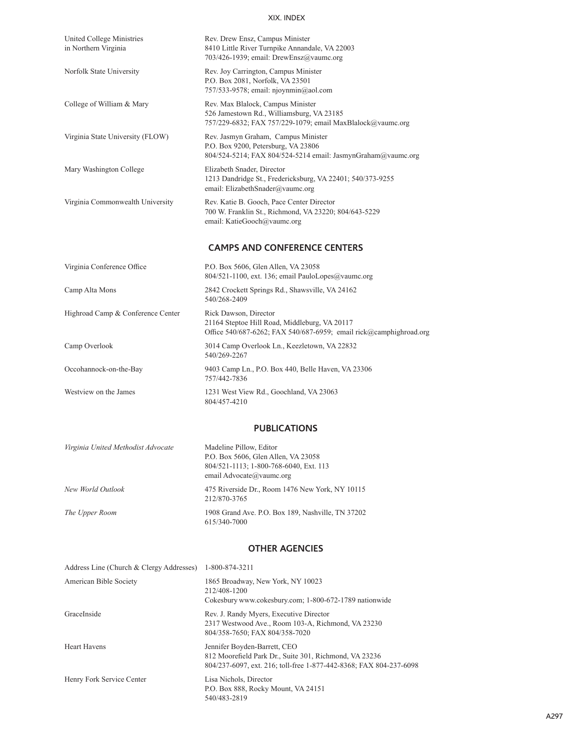| United College Ministries<br>in Northern Virginia | Rev. Drew Ensz, Campus Minister<br>8410 Little River Turnpike Annandale, VA 22003<br>703/426-1939; email: DrewEnsz@vaumc.org                 |
|---------------------------------------------------|----------------------------------------------------------------------------------------------------------------------------------------------|
| Norfolk State University                          | Rev. Joy Carrington, Campus Minister<br>P.O. Box 2081, Norfolk, VA 23501<br>757/533-9578; email: njoynmin@aol.com                            |
| College of William & Mary                         | Rev. Max Blalock, Campus Minister<br>526 Jamestown Rd., Williamsburg, VA 23185<br>757/229-6832; FAX 757/229-1079; email MaxBlalock@vaumc.org |
| Virginia State University (FLOW)                  | Rev. Jasmyn Graham, Campus Minister<br>P.O. Box 9200, Petersburg, VA 23806<br>804/524-5214; FAX 804/524-5214 email: JasmynGraham@vaumc.org   |
| Mary Washington College                           | Elizabeth Snader, Director<br>1213 Dandridge St., Fredericksburg, VA 22401; 540/373-9255<br>email: ElizabethSnader@vaumc.org                 |
| Virginia Commonwealth University                  | Rev. Katie B. Gooch, Pace Center Director<br>700 W. Franklin St., Richmond, VA 23220; 804/643-5229<br>email: KatieGooch@vaumc.org            |
|                                                   | <b>CAMPS AND CONFERENCE CENTERS</b>                                                                                                          |
| Virginia Conference Office                        | P.O. Box 5606, Glen Allen, VA 23058<br>804/521-1100, ext. 136; email PauloLopes@vaumc.org                                                    |
| Camp Alta Mons                                    | 2842 Crockett Springs Rd., Shawsville, VA 24162<br>540/268-2409                                                                              |
| Highroad Camp & Conference Center                 | Rick Dawson, Director<br>21164 Steptoe Hill Road, Middleburg, VA 20117<br>Office 540/687-6262; FAX 540/687-6959; email rick@camphighroad.org |
| Camp Overlook                                     | 3014 Camp Overlook Ln., Keezletown, VA 22832<br>540/269-2267                                                                                 |
| Occohannock-on-the-Bay                            | 9403 Camp Ln., P.O. Box 440, Belle Haven, VA 23306<br>757/442-7836                                                                           |
| Westview on the James                             | 1231 West View Rd., Goochland, VA 23063<br>804/457-4210                                                                                      |

#### **PUBLICATIONS**

| Virginia United Methodist Advocate | Madeline Pillow, Editor                                           |
|------------------------------------|-------------------------------------------------------------------|
|                                    | P.O. Box 5606, Glen Allen, VA 23058                               |
|                                    | 804/521-1113; 1-800-768-6040, Ext. 113                            |
|                                    | email Advocate@vaumc.org                                          |
| New World Outlook                  | 475 Riverside Dr., Room 1476 New York, NY 10115<br>212/870-3765   |
| The Upper Room                     | 1908 Grand Ave. P.O. Box 189, Nashville, TN 37202<br>615/340-7000 |

## **OTHER AGENCIES**

| Address Line (Church & Clergy Addresses) | 1-800-874-3211                                                                                                                                                                            |
|------------------------------------------|-------------------------------------------------------------------------------------------------------------------------------------------------------------------------------------------|
| American Bible Society                   | 1865 Broadway, New York, NY 10023<br>212/408-1200                                                                                                                                         |
| GraceInside                              | Cokesbury www.cokesbury.com; 1-800-672-1789 nationwide<br>Rev. J. Randy Myers, Executive Director<br>2317 Westwood Ave., Room 103-A, Richmond, VA 23230<br>804/358-7650; FAX 804/358-7020 |
| <b>Heart Havens</b>                      | Jennifer Boyden-Barrett, CEO<br>812 Moorefield Park Dr., Suite 301, Richmond, VA 23236<br>804/237-6097, ext. 216; toll-free 1-877-442-8368; FAX 804-237-6098                              |
| Henry Fork Service Center                | Lisa Nichols, Director<br>P.O. Box 888, Rocky Mount, VA 24151<br>540/483-2819                                                                                                             |
|                                          |                                                                                                                                                                                           |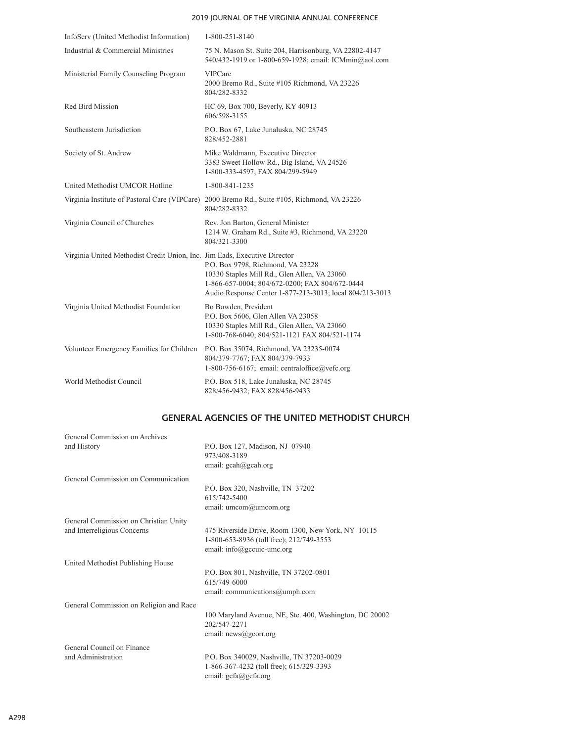#### 2019 JOURNAL OF THE VIRGINIA ANNUAL CONFERENCE

| InfoServ (United Methodist Information)                                   | 1-800-251-8140                                                                                                                                                                                  |
|---------------------------------------------------------------------------|-------------------------------------------------------------------------------------------------------------------------------------------------------------------------------------------------|
| Industrial & Commercial Ministries                                        | 75 N. Mason St. Suite 204, Harrisonburg, VA 22802-4147<br>540/432-1919 or 1-800-659-1928; email: ICMmin@aol.com                                                                                 |
| Ministerial Family Counseling Program                                     | <b>VIPCare</b><br>2000 Bremo Rd., Suite #105 Richmond, VA 23226<br>804/282-8332                                                                                                                 |
| Red Bird Mission                                                          | HC 69, Box 700, Beverly, KY 40913<br>606/598-3155                                                                                                                                               |
| Southeastern Jurisdiction                                                 | P.O. Box 67, Lake Junaluska, NC 28745<br>828/452-2881                                                                                                                                           |
| Society of St. Andrew                                                     | Mike Waldmann, Executive Director<br>3383 Sweet Hollow Rd., Big Island, VA 24526<br>1-800-333-4597; FAX 804/299-5949                                                                            |
| United Methodist UMCOR Hotline                                            | 1-800-841-1235                                                                                                                                                                                  |
|                                                                           | Virginia Institute of Pastoral Care (VIPCare) 2000 Bremo Rd., Suite #105, Richmond, VA 23226<br>804/282-8332                                                                                    |
| Virginia Council of Churches                                              | Rev. Jon Barton, General Minister<br>1214 W. Graham Rd., Suite #3, Richmond, VA 23220<br>804/321-3300                                                                                           |
| Virginia United Methodist Credit Union, Inc. Jim Eads, Executive Director | P.O. Box 9798, Richmond, VA 23228<br>10330 Staples Mill Rd., Glen Allen, VA 23060<br>1-866-657-0004; 804/672-0200; FAX 804/672-0444<br>Audio Response Center 1-877-213-3013; local 804/213-3013 |
| Virginia United Methodist Foundation                                      | Bo Bowden, President<br>P.O. Box 5606, Glen Allen VA 23058<br>10330 Staples Mill Rd., Glen Allen, VA 23060<br>1-800-768-6040; 804/521-1121 FAX 804/521-1174                                     |
| Volunteer Emergency Families for Children                                 | P.O. Box 35074, Richmond, VA 23235-0074<br>804/379-7767; FAX 804/379-7933<br>1-800-756-6167; email: centraloffice@vefc.org                                                                      |
| World Methodist Council                                                   | P.O. Box 518, Lake Junaluska, NC 28745<br>828/456-9432; FAX 828/456-9433                                                                                                                        |

# **GENERAL AGENCIES OF THE UNITED METHODIST CHURCH**

| General Commission on Archives          |                                                         |
|-----------------------------------------|---------------------------------------------------------|
| and History                             | P.O. Box 127, Madison, NJ 07940<br>973/408-3189         |
|                                         | email: $\text{gcah}(a)\text{gcah.org}$                  |
| General Commission on Communication     |                                                         |
|                                         | P.O. Box 320, Nashville, TN 37202                       |
|                                         | 615/742-5400                                            |
|                                         | email: umcom@umcom.org                                  |
| General Commission on Christian Unity   |                                                         |
| and Interreligious Concerns             | 475 Riverside Drive, Room 1300, New York, NY 10115      |
|                                         | 1-800-653-8936 (toll free); 212/749-3553                |
|                                         | email: info@gccuic-umc.org                              |
| United Methodist Publishing House       |                                                         |
|                                         | P.O. Box 801, Nashville, TN 37202-0801                  |
|                                         | 615/749-6000                                            |
|                                         | email: communications@umph.com                          |
| General Commission on Religion and Race |                                                         |
|                                         | 100 Maryland Avenue, NE, Ste. 400, Washington, DC 20002 |
|                                         | 202/547-2271                                            |
|                                         | email: $news@georr.org$                                 |
| General Council on Finance              |                                                         |
| and Administration                      | P.O. Box 340029, Nashville, TN 37203-0029               |
|                                         | 1-866-367-4232 (toll free); 615/329-3393                |
|                                         | email: $gcfa@gcfa.org$                                  |
|                                         |                                                         |